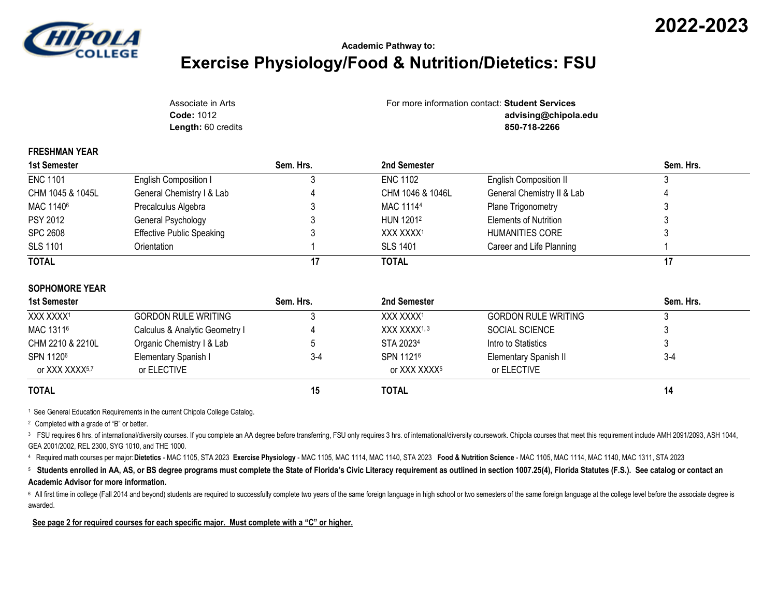

**FRESHMAN YEAR**

## **Academic Pathway to: Exercise Physiology/Food & Nutrition/Dietetics: FSU**

**2022-2023**

| Associate in Arts         | For more information contact: Student Services |
|---------------------------|------------------------------------------------|
| <b>Code: 1012</b>         | advising@chipola.edu                           |
| <b>Length: 60 credits</b> | 850-718-2266                                   |

| 1st Semester          |                                  | Sem. Hrs. | 2nd Semester          |                               | Sem. Hrs. |
|-----------------------|----------------------------------|-----------|-----------------------|-------------------------------|-----------|
| <b>ENC 1101</b>       | English Composition I            |           | <b>ENC 1102</b>       | <b>English Composition II</b> |           |
| CHM 1045 & 1045L      | General Chemistry I & Lab        |           | CHM 1046 & 1046L      | General Chemistry II & Lab    |           |
| MAC 1140 <sup>6</sup> | Precalculus Algebra              |           | MAC 11144             | Plane Trigonometry            |           |
| <b>PSY 2012</b>       | General Psychology               |           | HUN 1201 <sup>2</sup> | Elements of Nutrition         | J         |
| <b>SPC 2608</b>       | <b>Effective Public Speaking</b> |           | XXX XXXX1             | HUMANITIES CORE               |           |
| <b>SLS 1101</b>       | Orientation                      |           | <b>SLS 1401</b>       | Career and Life Planning      |           |
| <b>TOTAL</b>          |                                  |           | <b>TOTAL</b>          |                               | 17        |

| 1st Semester               |                                | Sem. Hrs. | 2nd Semester             |                              | Sem. Hrs. |
|----------------------------|--------------------------------|-----------|--------------------------|------------------------------|-----------|
| XXX XXXX <sup>1</sup>      | <b>GORDON RULE WRITING</b>     |           | XXX XXXX <sup>1</sup>    | <b>GORDON RULE WRITING</b>   |           |
| MAC 13116                  | Calculus & Analytic Geometry I |           | XXX XXXX <sup>1, 3</sup> | SOCIAL SCIENCE               |           |
| CHM 2210 & 2210L           | Organic Chemistry I & Lab      |           | STA 20234                | Intro to Statistics          |           |
| SPN 11206                  | Elementary Spanish I           | $3-4$     | SPN 11216                | <b>Elementary Spanish II</b> | $3-4$     |
| or XXX XXXX <sup>5,7</sup> | or ELECTIVE                    |           | or XXX XXXX <sup>5</sup> | or ELECTIVE                  |           |
| <b>TOTAL</b>               |                                | 15        | <b>TOTAL</b>             |                              | 14        |

<sup>1</sup> See General Education Requirements in the current Chipola College Catalog.

<sup>2</sup> Completed with a grade of "B" or better.

<sup>3</sup> FSU requires 6 hrs. of international/diversity courses. If you complete an AA degree before transferring, FSU only requires 3 hrs. of international/diversity coursework. Chipola courses that meet this requirement inclu GEA 2001/2002, REL 2300, SYG 1010, and THE 1000.

<sup>4</sup>Required math courses per major:**Dietetics** - MAC 1105, STA 2023 **Exercise Physiology** - MAC 1105, MAC 1114, MAC 1140, STA 2023 **Food & Nutrition Science** - MAC 1105, MAC 1114, MAC 1140, MAC 1311, STA 2023

<sup>5</sup> Students enrolled in AA, AS, or BS degree programs must complete the State of Florida's Civic Literacy requirement as outlined in section 1007.25(4), Florida Statutes (F.S.). See catalog or contact an **Academic Advisor for more information.**

<sup>6</sup> All first time in college (Fall 2014 and beyond) students are required to successfully complete two years of the same foreign language in high school or two semesters of the same foreign language at the college level b awarded.

**See page 2 for required courses for each specific major. Must complete with a "C" or higher.**